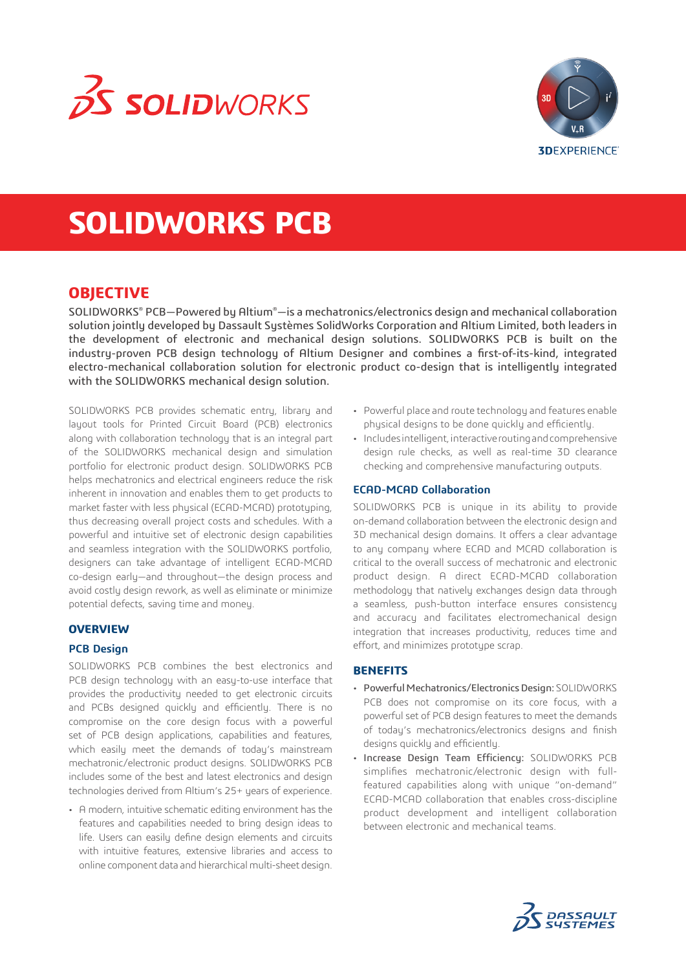



# **SOLIDWORKS PCB**

# **OBJECTIVE**

SOLIDWORKS® PCB—Powered by Altium®—is a mechatronics/electronics design and mechanical collaboration solution jointly developed by Dassault Sustèmes SolidWorks Corporation and Altium Limited, both leaders in the development of electronic and mechanical design solutions. SOLIDWORKS PCB is built on the industry-proven PCB design technology of Altium Designer and combines a first-of-its-kind, integrated electro-mechanical collaboration solution for electronic product co-design that is intelligently integrated with the SOLIDWORKS mechanical design solution.

SOLIDWORKS PCB provides schematic entry, library and layout tools for Printed Circuit Board (PCB) electronics along with collaboration technology that is an integral part of the SOLIDWORKS mechanical design and simulation portfolio for electronic product design. SOLIDWORKS PCB helps mechatronics and electrical engineers reduce the risk inherent in innovation and enables them to get products to market faster with less physical (ECAD-MCAD) prototyping, thus decreasing overall project costs and schedules. With a powerful and intuitive set of electronic design capabilities and seamless integration with the SOLIDWORKS portfolio, designers can take advantage of intelligent ECAD-MCAD co-design early—and throughout—the design process and avoid costly design rework, as well as eliminate or minimize potential defects, saving time and money.

## **OVERVIEW**

## **PCB Design**

SOLIDWORKS PCB combines the best electronics and PCB design technology with an easy-to-use interface that provides the productivity needed to get electronic circuits and PCBs designed quickly and efficiently. There is no compromise on the core design focus with a powerful set of PCB design applications, capabilities and features, which easily meet the demands of today's mainstream mechatronic/electronic product designs. SOLIDWORKS PCB includes some of the best and latest electronics and design technologies derived from Altium's 25+ years of experience.

• A modern, intuitive schematic editing environment has the features and capabilities needed to bring design ideas to life. Users can easily define design elements and circuits with intuitive features, extensive libraries and access to online component data and hierarchical multi-sheet design.

- Powerful place and route technology and features enable physical designs to be done quickly and efficiently.
- Includes intelligent, interactive routing and comprehensive design rule checks, as well as real-time 3D clearance checking and comprehensive manufacturing outputs.

#### **ECAD-MCAD Collaboration**

SOLIDWORKS PCB is unique in its ability to provide on-demand collaboration between the electronic design and 3D mechanical design domains. It offers a clear advantage to any company where ECAD and MCAD collaboration is critical to the overall success of mechatronic and electronic product design. A direct ECAD-MCAD collaboration methodology that natively exchanges design data through a seamless, push-button interface ensures consistency and accuracy and facilitates electromechanical design integration that increases productivity, reduces time and effort, and minimizes prototype scrap.

## **BENEFITS**

- Powerful Mechatronics/Electronics Design: SOLIDWORKS PCB does not compromise on its core focus, with a powerful set of PCB design features to meet the demands of today's mechatronics/electronics designs and finish designs quickly and efficiently.
- Increase Design Team Efficiency: SOLIDWORKS PCB simplifies mechatronic/electronic design with fullfeatured capabilities along with unique "on-demand" ECAD-MCAD collaboration that enables cross-discipline product development and intelligent collaboration between electronic and mechanical teams.